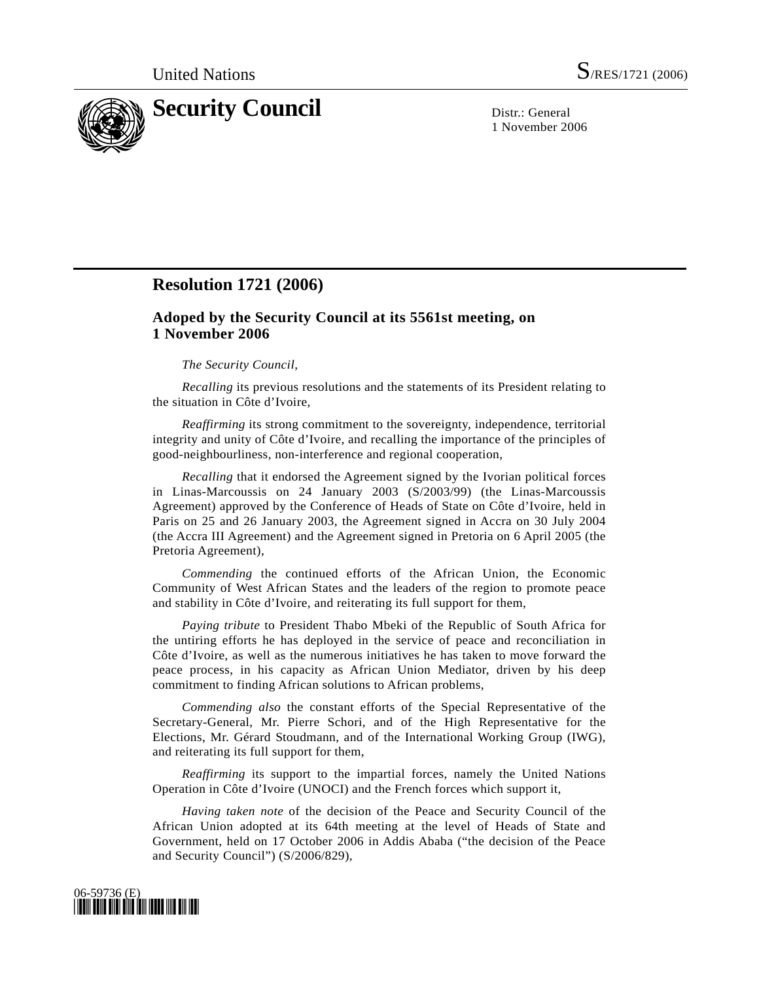

1 November 2006

## **Resolution 1721 (2006)**

## **Adoped by the Security Council at its 5561st meeting, on 1 November 2006**

## *The Security Council*,

*Recalling* its previous resolutions and the statements of its President relating to the situation in Côte d'Ivoire,

*Reaffirming* its strong commitment to the sovereignty, independence, territorial integrity and unity of Côte d'Ivoire, and recalling the importance of the principles of good-neighbourliness, non-interference and regional cooperation,

*Recalling* that it endorsed the Agreement signed by the Ivorian political forces in Linas-Marcoussis on 24 January 2003 (S/2003/99) (the Linas-Marcoussis Agreement) approved by the Conference of Heads of State on Côte d'Ivoire, held in Paris on 25 and 26 January 2003, the Agreement signed in Accra on 30 July 2004 (the Accra III Agreement) and the Agreement signed in Pretoria on 6 April 2005 (the Pretoria Agreement),

*Commending* the continued efforts of the African Union, the Economic Community of West African States and the leaders of the region to promote peace and stability in Côte d'Ivoire, and reiterating its full support for them,

*Paying tribute* to President Thabo Mbeki of the Republic of South Africa for the untiring efforts he has deployed in the service of peace and reconciliation in Côte d'Ivoire, as well as the numerous initiatives he has taken to move forward the peace process, in his capacity as African Union Mediator, driven by his deep commitment to finding African solutions to African problems,

*Commending also* the constant efforts of the Special Representative of the Secretary-General, Mr. Pierre Schori, and of the High Representative for the Elections, Mr. Gérard Stoudmann, and of the International Working Group (IWG), and reiterating its full support for them,

*Reaffirming* its support to the impartial forces, namely the United Nations Operation in Côte d'Ivoire (UNOCI) and the French forces which support it,

*Having taken note* of the decision of the Peace and Security Council of the African Union adopted at its 64th meeting at the level of Heads of State and Government, held on 17 October 2006 in Addis Ababa ("the decision of the Peace and Security Council") (S/2006/829),

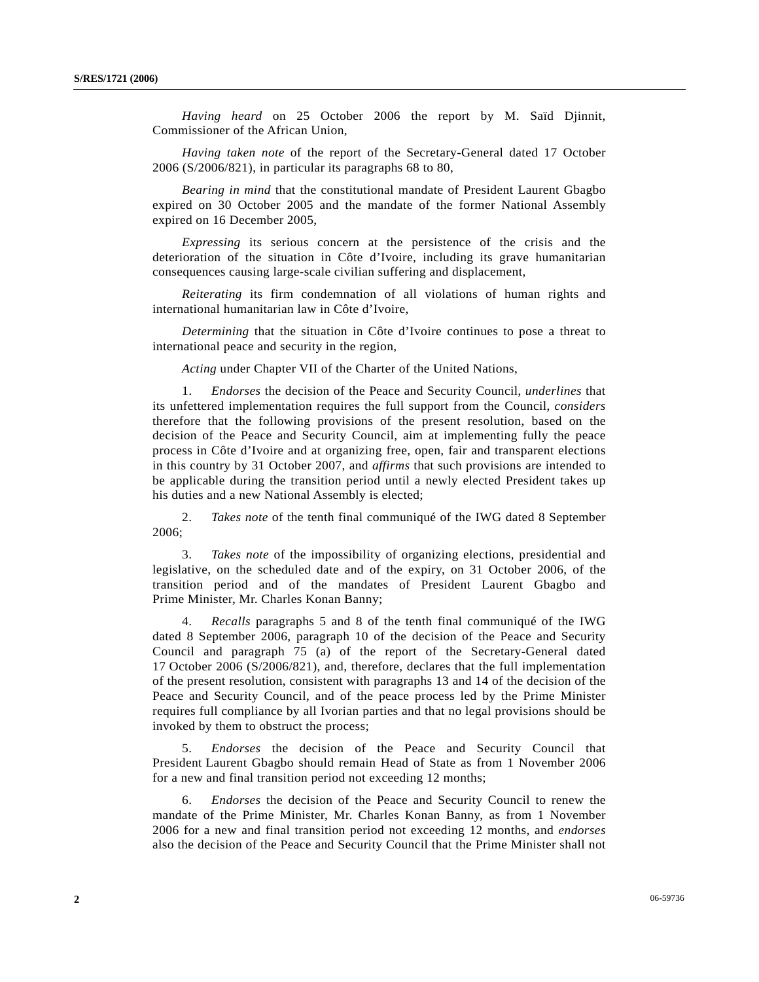*Having heard* on 25 October 2006 the report by M. Saïd Djinnit, Commissioner of the African Union,

*Having taken note* of the report of the Secretary-General dated 17 October 2006 (S/2006/821), in particular its paragraphs 68 to 80,

*Bearing in mind* that the constitutional mandate of President Laurent Gbagbo expired on 30 October 2005 and the mandate of the former National Assembly expired on 16 December 2005,

*Expressing* its serious concern at the persistence of the crisis and the deterioration of the situation in Côte d'Ivoire, including its grave humanitarian consequences causing large-scale civilian suffering and displacement,

*Reiterating* its firm condemnation of all violations of human rights and international humanitarian law in Côte d'Ivoire,

*Determining* that the situation in Côte d'Ivoire continues to pose a threat to international peace and security in the region,

*Acting* under Chapter VII of the Charter of the United Nations,

 1. *Endorses* the decision of the Peace and Security Council, *underlines* that its unfettered implementation requires the full support from the Council, *considers* therefore that the following provisions of the present resolution, based on the decision of the Peace and Security Council, aim at implementing fully the peace process in Côte d'Ivoire and at organizing free, open, fair and transparent elections in this country by 31 October 2007, and *affirms* that such provisions are intended to be applicable during the transition period until a newly elected President takes up his duties and a new National Assembly is elected;

 2. *Takes note* of the tenth final communiqué of the IWG dated 8 September 2006;

 3. *Takes note* of the impossibility of organizing elections, presidential and legislative, on the scheduled date and of the expiry, on 31 October 2006, of the transition period and of the mandates of President Laurent Gbagbo and Prime Minister, Mr. Charles Konan Banny;

 4. *Recalls* paragraphs 5 and 8 of the tenth final communiqué of the IWG dated 8 September 2006, paragraph 10 of the decision of the Peace and Security Council and paragraph 75 (a) of the report of the Secretary-General dated 17 October 2006 (S/2006/821), and, therefore, declares that the full implementation of the present resolution, consistent with paragraphs 13 and 14 of the decision of the Peace and Security Council, and of the peace process led by the Prime Minister requires full compliance by all Ivorian parties and that no legal provisions should be invoked by them to obstruct the process;

 5. *Endorses* the decision of the Peace and Security Council that President Laurent Gbagbo should remain Head of State as from 1 November 2006 for a new and final transition period not exceeding 12 months;

 6. *Endorses* the decision of the Peace and Security Council to renew the mandate of the Prime Minister, Mr. Charles Konan Banny, as from 1 November 2006 for a new and final transition period not exceeding 12 months, and *endorses* also the decision of the Peace and Security Council that the Prime Minister shall not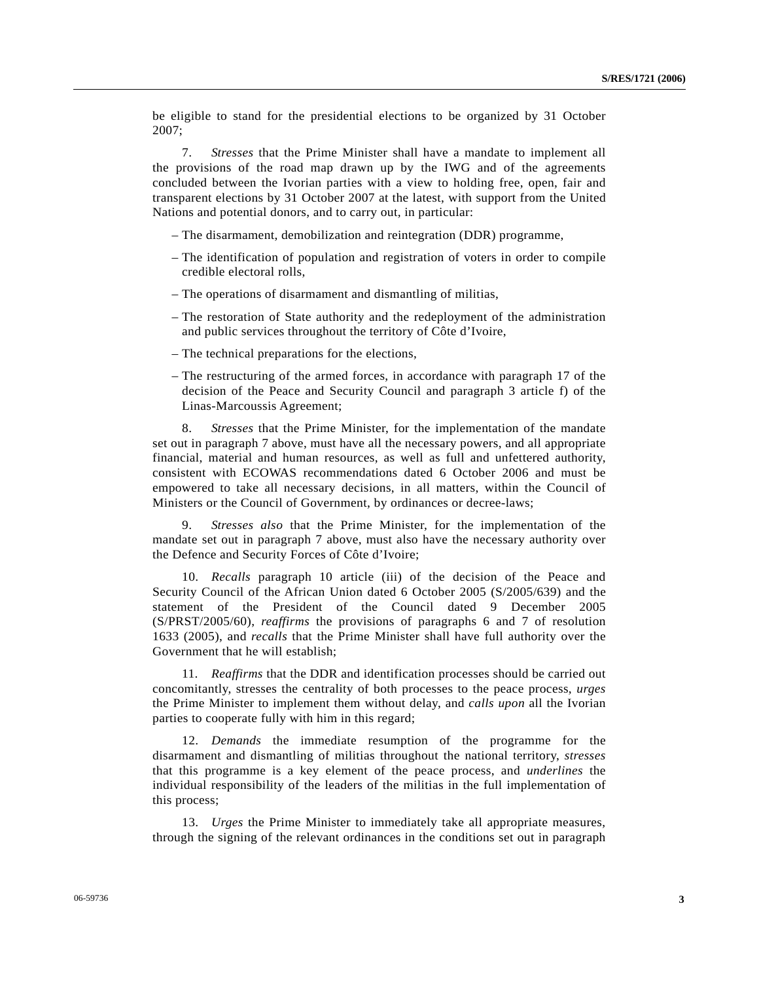be eligible to stand for the presidential elections to be organized by 31 October 2007;

 7. *Stresses* that the Prime Minister shall have a mandate to implement all the provisions of the road map drawn up by the IWG and of the agreements concluded between the Ivorian parties with a view to holding free, open, fair and transparent elections by 31 October 2007 at the latest, with support from the United Nations and potential donors, and to carry out, in particular:

– The disarmament, demobilization and reintegration (DDR) programme,

- The identification of population and registration of voters in order to compile credible electoral rolls,
- The operations of disarmament and dismantling of militias,
- The restoration of State authority and the redeployment of the administration and public services throughout the territory of Côte d'Ivoire,
- The technical preparations for the elections,
- The restructuring of the armed forces, in accordance with paragraph 17 of the decision of the Peace and Security Council and paragraph 3 article f) of the Linas-Marcoussis Agreement;

 8. *Stresses* that the Prime Minister, for the implementation of the mandate set out in paragraph 7 above, must have all the necessary powers, and all appropriate financial, material and human resources, as well as full and unfettered authority, consistent with ECOWAS recommendations dated 6 October 2006 and must be empowered to take all necessary decisions, in all matters, within the Council of Ministers or the Council of Government, by ordinances or decree-laws;

 9. *Stresses also* that the Prime Minister, for the implementation of the mandate set out in paragraph 7 above, must also have the necessary authority over the Defence and Security Forces of Côte d'Ivoire;

 10. *Recalls* paragraph 10 article (iii) of the decision of the Peace and Security Council of the African Union dated 6 October 2005 (S/2005/639) and the statement of the President of the Council dated 9 December 2005 (S/PRST/2005/60), *reaffirms* the provisions of paragraphs 6 and 7 of resolution 1633 (2005), and *recalls* that the Prime Minister shall have full authority over the Government that he will establish;

 11. *Reaffirms* that the DDR and identification processes should be carried out concomitantly, stresses the centrality of both processes to the peace process, *urges* the Prime Minister to implement them without delay, and *calls upon* all the Ivorian parties to cooperate fully with him in this regard;

 12. *Demands* the immediate resumption of the programme for the disarmament and dismantling of militias throughout the national territory, *stresses* that this programme is a key element of the peace process, and *underlines* the individual responsibility of the leaders of the militias in the full implementation of this process;

 13. *Urges* the Prime Minister to immediately take all appropriate measures, through the signing of the relevant ordinances in the conditions set out in paragraph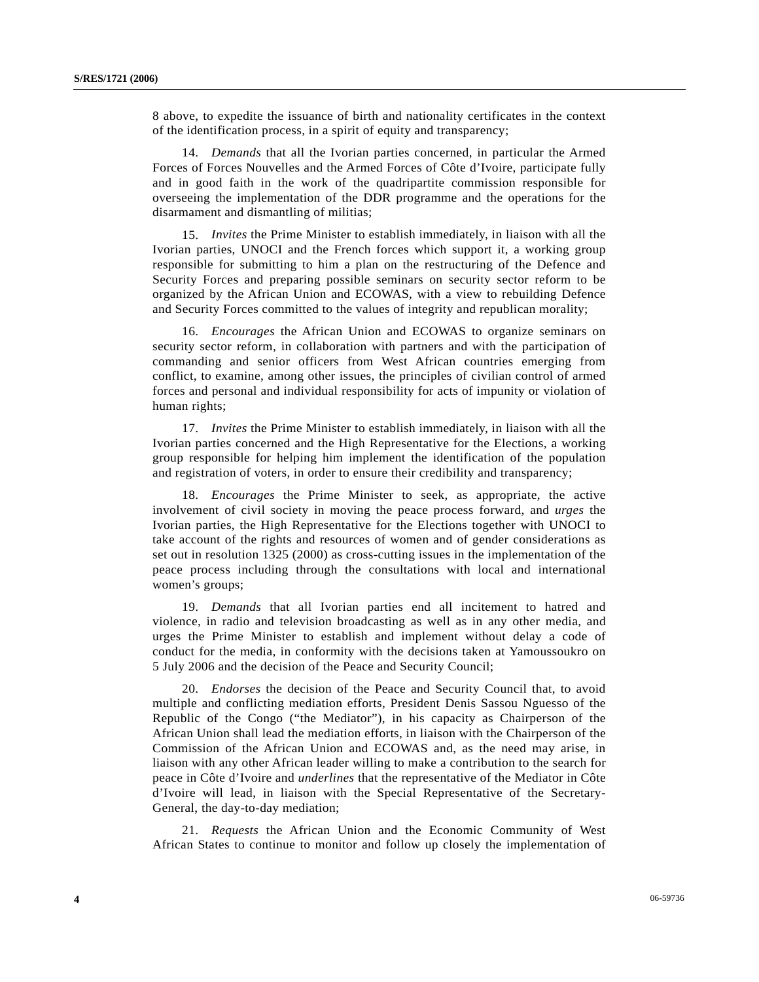8 above, to expedite the issuance of birth and nationality certificates in the context of the identification process, in a spirit of equity and transparency;

 14. *Demands* that all the Ivorian parties concerned, in particular the Armed Forces of Forces Nouvelles and the Armed Forces of Côte d'Ivoire, participate fully and in good faith in the work of the quadripartite commission responsible for overseeing the implementation of the DDR programme and the operations for the disarmament and dismantling of militias;

 15. *Invites* the Prime Minister to establish immediately, in liaison with all the Ivorian parties, UNOCI and the French forces which support it, a working group responsible for submitting to him a plan on the restructuring of the Defence and Security Forces and preparing possible seminars on security sector reform to be organized by the African Union and ECOWAS, with a view to rebuilding Defence and Security Forces committed to the values of integrity and republican morality;

 16. *Encourages* the African Union and ECOWAS to organize seminars on security sector reform, in collaboration with partners and with the participation of commanding and senior officers from West African countries emerging from conflict, to examine, among other issues, the principles of civilian control of armed forces and personal and individual responsibility for acts of impunity or violation of human rights;

 17. *Invites* the Prime Minister to establish immediately, in liaison with all the Ivorian parties concerned and the High Representative for the Elections, a working group responsible for helping him implement the identification of the population and registration of voters, in order to ensure their credibility and transparency;

 18. *Encourages* the Prime Minister to seek, as appropriate, the active involvement of civil society in moving the peace process forward, and *urges* the Ivorian parties, the High Representative for the Elections together with UNOCI to take account of the rights and resources of women and of gender considerations as set out in resolution 1325 (2000) as cross-cutting issues in the implementation of the peace process including through the consultations with local and international women's groups;

 19. *Demands* that all Ivorian parties end all incitement to hatred and violence, in radio and television broadcasting as well as in any other media, and urges the Prime Minister to establish and implement without delay a code of conduct for the media, in conformity with the decisions taken at Yamoussoukro on 5 July 2006 and the decision of the Peace and Security Council;

 20. *Endorses* the decision of the Peace and Security Council that, to avoid multiple and conflicting mediation efforts, President Denis Sassou Nguesso of the Republic of the Congo ("the Mediator"), in his capacity as Chairperson of the African Union shall lead the mediation efforts, in liaison with the Chairperson of the Commission of the African Union and ECOWAS and, as the need may arise, in liaison with any other African leader willing to make a contribution to the search for peace in Côte d'Ivoire and *underlines* that the representative of the Mediator in Côte d'Ivoire will lead, in liaison with the Special Representative of the Secretary-General, the day-to-day mediation;

 21. *Requests* the African Union and the Economic Community of West African States to continue to monitor and follow up closely the implementation of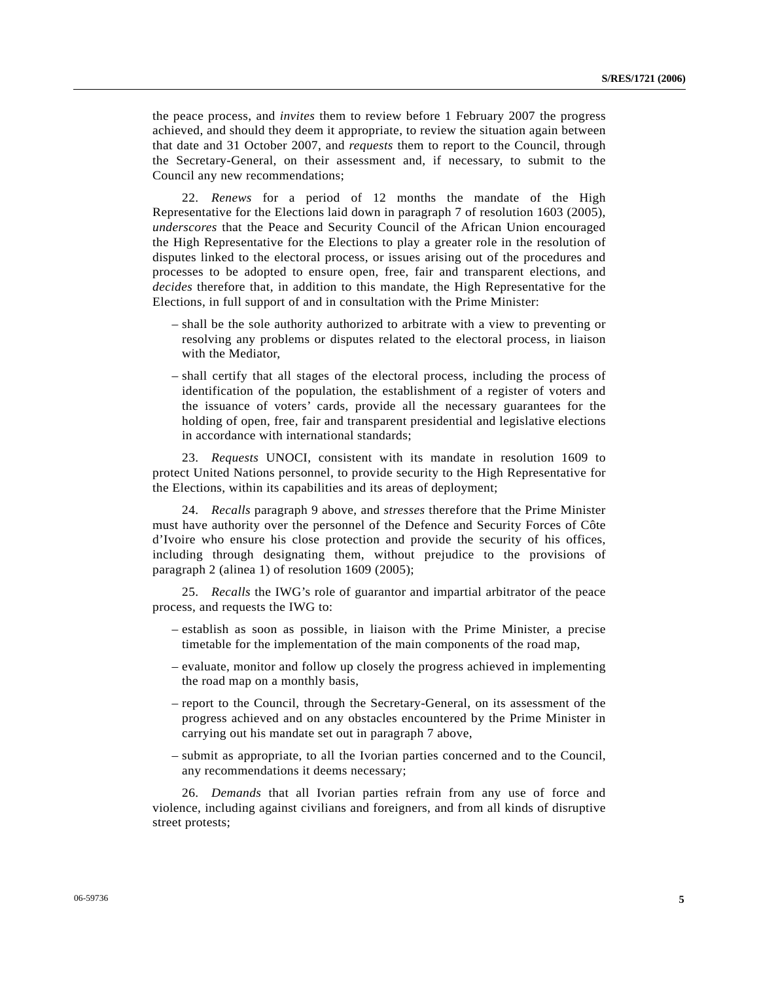the peace process, and *invites* them to review before 1 February 2007 the progress achieved, and should they deem it appropriate, to review the situation again between that date and 31 October 2007, and *requests* them to report to the Council, through the Secretary-General, on their assessment and, if necessary, to submit to the Council any new recommendations;

 22. *Renews* for a period of 12 months the mandate of the High Representative for the Elections laid down in paragraph 7 of resolution 1603 (2005), *underscores* that the Peace and Security Council of the African Union encouraged the High Representative for the Elections to play a greater role in the resolution of disputes linked to the electoral process, or issues arising out of the procedures and processes to be adopted to ensure open, free, fair and transparent elections, and *decides* therefore that, in addition to this mandate, the High Representative for the Elections, in full support of and in consultation with the Prime Minister:

- shall be the sole authority authorized to arbitrate with a view to preventing or resolving any problems or disputes related to the electoral process, in liaison with the Mediator,
- shall certify that all stages of the electoral process, including the process of identification of the population, the establishment of a register of voters and the issuance of voters' cards, provide all the necessary guarantees for the holding of open, free, fair and transparent presidential and legislative elections in accordance with international standards;

 23. *Requests* UNOCI, consistent with its mandate in resolution 1609 to protect United Nations personnel, to provide security to the High Representative for the Elections, within its capabilities and its areas of deployment;

 24. *Recalls* paragraph 9 above, and *stresses* therefore that the Prime Minister must have authority over the personnel of the Defence and Security Forces of Côte d'Ivoire who ensure his close protection and provide the security of his offices, including through designating them, without prejudice to the provisions of paragraph 2 (alinea 1) of resolution 1609 (2005);

 25. *Recalls* the IWG's role of guarantor and impartial arbitrator of the peace process, and requests the IWG to:

- establish as soon as possible, in liaison with the Prime Minister, a precise timetable for the implementation of the main components of the road map,
- evaluate, monitor and follow up closely the progress achieved in implementing the road map on a monthly basis,
- report to the Council, through the Secretary-General, on its assessment of the progress achieved and on any obstacles encountered by the Prime Minister in carrying out his mandate set out in paragraph 7 above,
- submit as appropriate, to all the Ivorian parties concerned and to the Council, any recommendations it deems necessary;

 26. *Demands* that all Ivorian parties refrain from any use of force and violence, including against civilians and foreigners, and from all kinds of disruptive street protests;